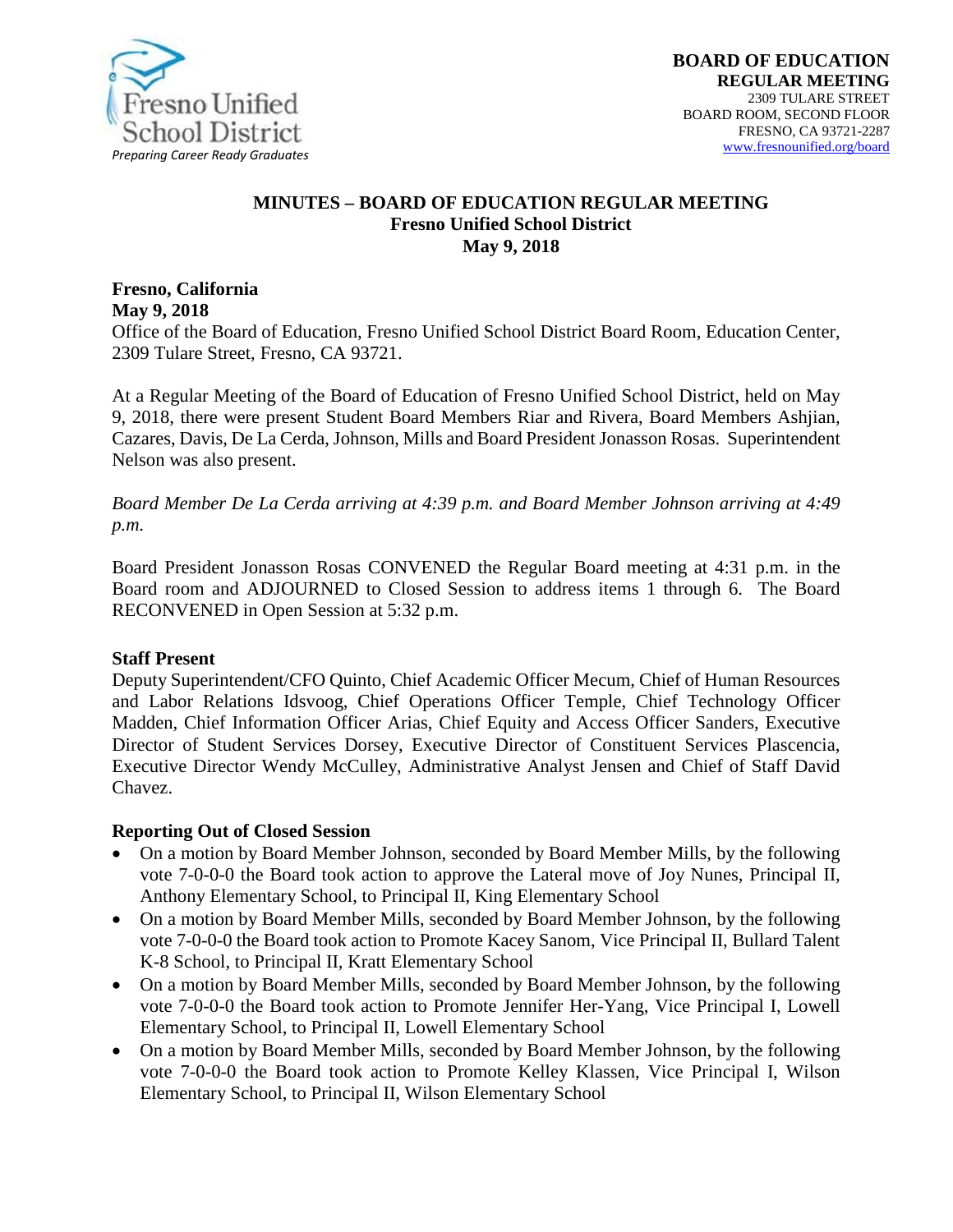

#### **MINUTES – BOARD OF EDUCATION REGULAR MEETING Fresno Unified School District May 9, 2018**

# **Fresno, California May 9, 2018**

Office of the Board of Education, Fresno Unified School District Board Room, Education Center, 2309 Tulare Street, Fresno, CA 93721.

At a Regular Meeting of the Board of Education of Fresno Unified School District, held on May 9, 2018, there were present Student Board Members Riar and Rivera, Board Members Ashjian, Cazares, Davis, De La Cerda, Johnson, Mills and Board President Jonasson Rosas. Superintendent Nelson was also present.

*Board Member De La Cerda arriving at 4:39 p.m. and Board Member Johnson arriving at 4:49 p.m.*

Board President Jonasson Rosas CONVENED the Regular Board meeting at 4:31 p.m. in the Board room and ADJOURNED to Closed Session to address items 1 through 6. The Board RECONVENED in Open Session at 5:32 p.m.

#### **Staff Present**

Deputy Superintendent/CFO Quinto, Chief Academic Officer Mecum, Chief of Human Resources and Labor Relations Idsvoog, Chief Operations Officer Temple, Chief Technology Officer Madden, Chief Information Officer Arias, Chief Equity and Access Officer Sanders, Executive Director of Student Services Dorsey, Executive Director of Constituent Services Plascencia, Executive Director Wendy McCulley, Administrative Analyst Jensen and Chief of Staff David Chavez.

#### **Reporting Out of Closed Session**

- On a motion by Board Member Johnson, seconded by Board Member Mills, by the following vote 7-0-0-0 the Board took action to approve the Lateral move of Joy Nunes, Principal II, Anthony Elementary School, to Principal II, King Elementary School
- On a motion by Board Member Mills, seconded by Board Member Johnson, by the following vote 7-0-0-0 the Board took action to Promote Kacey Sanom, Vice Principal II, Bullard Talent K-8 School, to Principal II, Kratt Elementary School
- On a motion by Board Member Mills, seconded by Board Member Johnson, by the following vote 7-0-0-0 the Board took action to Promote Jennifer Her-Yang, Vice Principal I, Lowell Elementary School, to Principal II, Lowell Elementary School
- On a motion by Board Member Mills, seconded by Board Member Johnson, by the following vote 7-0-0-0 the Board took action to Promote Kelley Klassen, Vice Principal I, Wilson Elementary School, to Principal II, Wilson Elementary School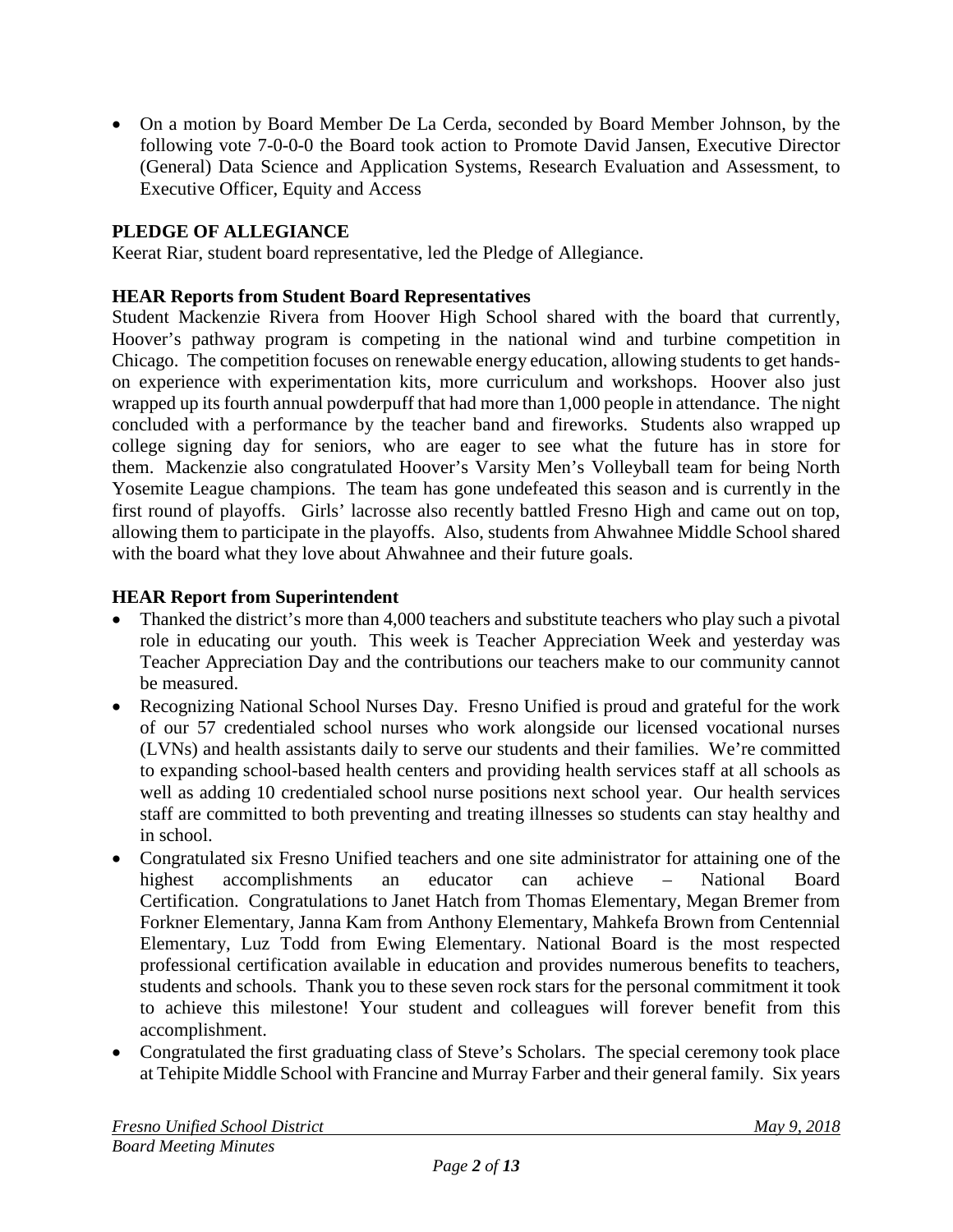• On a motion by Board Member De La Cerda, seconded by Board Member Johnson, by the following vote 7-0-0-0 the Board took action to Promote David Jansen, Executive Director (General) Data Science and Application Systems, Research Evaluation and Assessment, to Executive Officer, Equity and Access

# **PLEDGE OF ALLEGIANCE**

Keerat Riar, student board representative, led the Pledge of Allegiance.

### **HEAR Reports from Student Board Representatives**

Student Mackenzie Rivera from Hoover High School shared with the board that currently, Hoover's pathway program is competing in the national wind and turbine competition in Chicago. The competition focuses on renewable energy education, allowing students to get handson experience with experimentation kits, more curriculum and workshops. Hoover also just wrapped up its fourth annual powderpuff that had more than 1,000 people in attendance. The night concluded with a performance by the teacher band and fireworks. Students also wrapped up college signing day for seniors, who are eager to see what the future has in store for them. Mackenzie also congratulated Hoover's Varsity Men's Volleyball team for being North Yosemite League champions. The team has gone undefeated this season and is currently in the first round of playoffs. Girls' lacrosse also recently battled Fresno High and came out on top, allowing them to participate in the playoffs. Also, students from Ahwahnee Middle School shared with the board what they love about Ahwahnee and their future goals.

### **HEAR Report from Superintendent**

- Thanked the district's more than 4,000 teachers and substitute teachers who play such a pivotal role in educating our youth. This week is Teacher Appreciation Week and yesterday was Teacher Appreciation Day and the contributions our teachers make to our community cannot be measured.
- Recognizing National School Nurses Day. Fresno Unified is proud and grateful for the work of our 57 credentialed school nurses who work alongside our licensed vocational nurses (LVNs) and health assistants daily to serve our students and their families. We're committed to expanding school-based health centers and providing health services staff at all schools as well as adding 10 credentialed school nurse positions next school year. Our health services staff are committed to both preventing and treating illnesses so students can stay healthy and in school.
- Congratulated six Fresno Unified teachers and one site administrator for attaining one of the highest accomplishments an educator can achieve – National Board Certification. Congratulations to Janet Hatch from Thomas Elementary, Megan Bremer from Forkner Elementary, Janna Kam from Anthony Elementary, Mahkefa Brown from Centennial Elementary, Luz Todd from Ewing Elementary. National Board is the most respected professional certification available in education and provides numerous benefits to teachers, students and schools. Thank you to these seven rock stars for the personal commitment it took to achieve this milestone! Your student and colleagues will forever benefit from this accomplishment.
- Congratulated the first graduating class of Steve's Scholars. The special ceremony took place at Tehipite Middle School with Francine and Murray Farber and their general family. Six years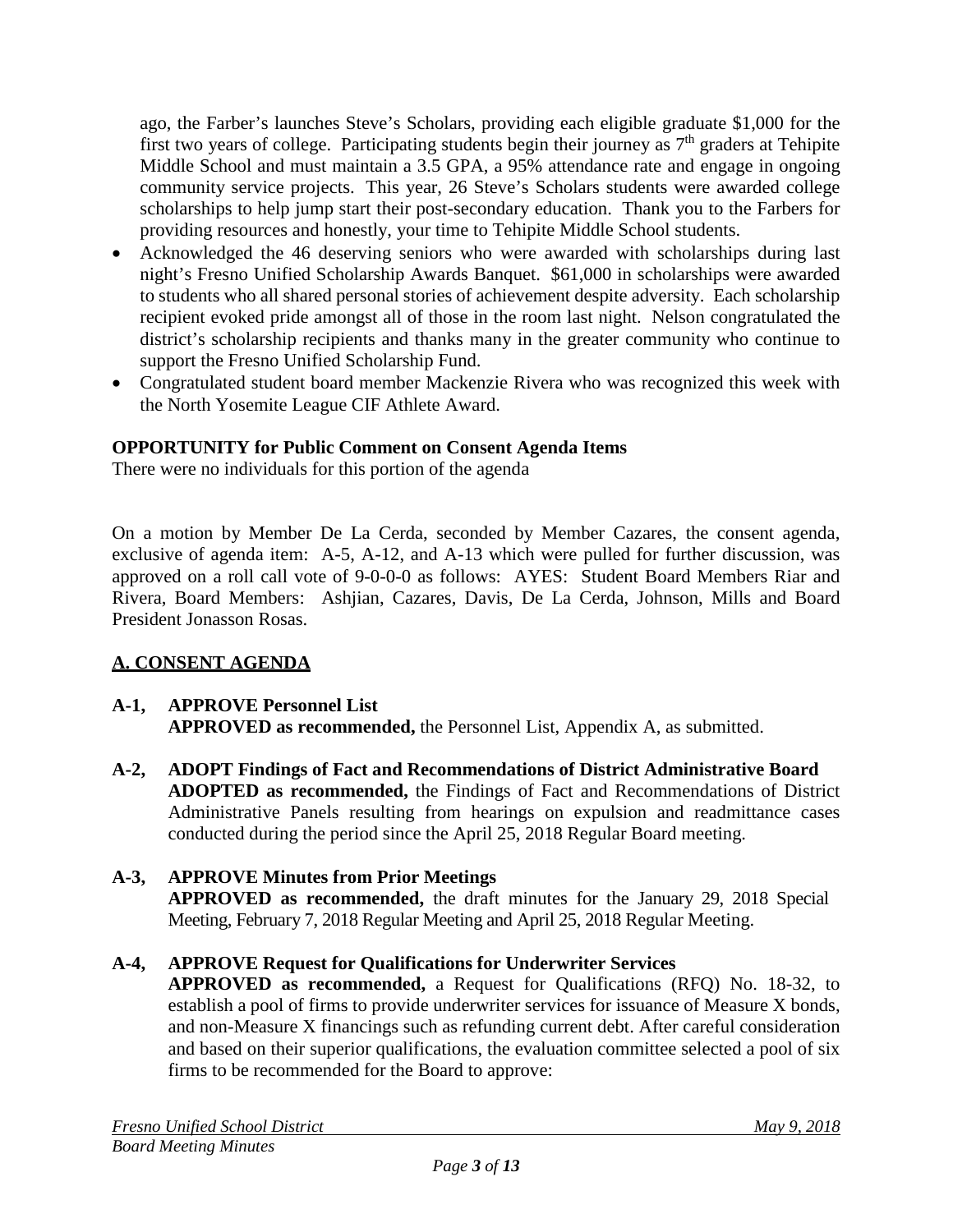ago, the Farber's launches Steve's Scholars, providing each eligible graduate \$1,000 for the first two years of college. Participating students begin their journey as 7<sup>th</sup> graders at Tehipite Middle School and must maintain a 3.5 GPA, a 95% attendance rate and engage in ongoing community service projects. This year, 26 Steve's Scholars students were awarded college scholarships to help jump start their post-secondary education. Thank you to the Farbers for providing resources and honestly, your time to Tehipite Middle School students.

- Acknowledged the 46 deserving seniors who were awarded with scholarships during last night's Fresno Unified Scholarship Awards Banquet. \$61,000 in scholarships were awarded to students who all shared personal stories of achievement despite adversity. Each scholarship recipient evoked pride amongst all of those in the room last night. Nelson congratulated the district's scholarship recipients and thanks many in the greater community who continue to support the Fresno Unified Scholarship Fund.
- Congratulated student board member Mackenzie Rivera who was recognized this week with the North Yosemite League CIF Athlete Award.

## **OPPORTUNITY for Public Comment on Consent Agenda Items**

There were no individuals for this portion of the agenda

On a motion by Member De La Cerda, seconded by Member Cazares, the consent agenda, exclusive of agenda item: A-5, A-12, and A-13 which were pulled for further discussion, was approved on a roll call vote of 9-0-0-0 as follows: AYES: Student Board Members Riar and Rivera, Board Members: Ashjian, Cazares, Davis, De La Cerda, Johnson, Mills and Board President Jonasson Rosas.

## **A. CONSENT AGENDA**

### **A-1, APPROVE Personnel List APPROVED as recommended,** the Personnel List, Appendix A, as submitted.

**A-2, ADOPT Findings of Fact and Recommendations of District Administrative Board ADOPTED as recommended,** the Findings of Fact and Recommendations of District Administrative Panels resulting from hearings on expulsion and readmittance cases conducted during the period since the April 25, 2018 Regular Board meeting.

#### **A-3, APPROVE Minutes from Prior Meetings APPROVED as recommended,** the draft minutes for the January 29, 2018 Special Meeting, February 7, 2018 Regular Meeting and April 25, 2018 Regular Meeting.

## **A-4, APPROVE Request for Qualifications for Underwriter Services**

**APPROVED as recommended,** a Request for Qualifications (RFQ) No. 18-32, to establish a pool of firms to provide underwriter services for issuance of Measure X bonds, and non-Measure X financings such as refunding current debt. After careful consideration and based on their superior qualifications, the evaluation committee selected a pool of six firms to be recommended for the Board to approve: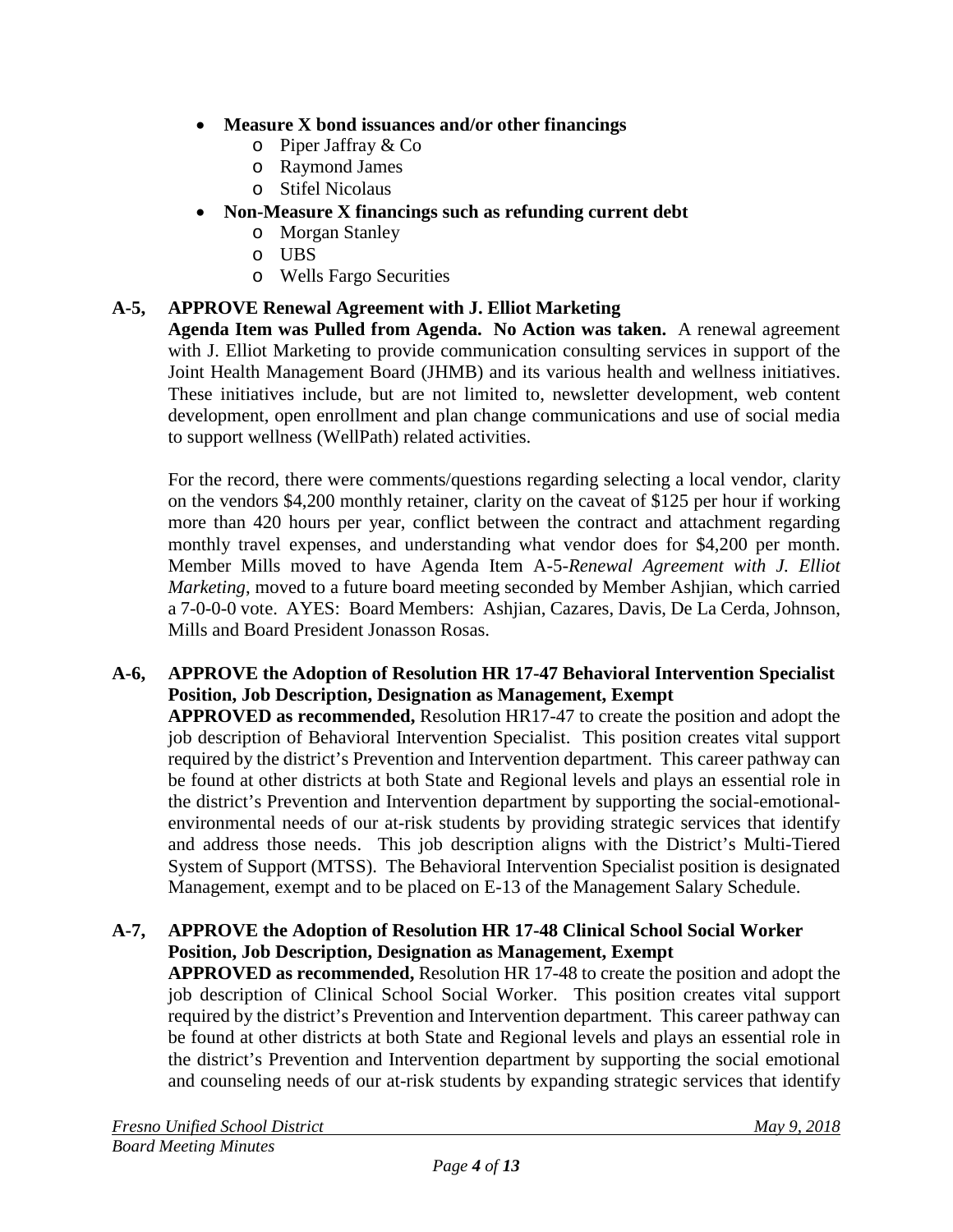- **Measure X bond issuances and/or other financings**
	- o Piper Jaffray & Co
	- o Raymond James
	- o Stifel Nicolaus
- **Non-Measure X financings such as refunding current debt** 
	- o Morgan Stanley
	- o UBS
	- o Wells Fargo Securities

# **A-5, APPROVE Renewal Agreement with J. Elliot Marketing**

**Agenda Item was Pulled from Agenda. No Action was taken.** A renewal agreement with J. Elliot Marketing to provide communication consulting services in support of the Joint Health Management Board (JHMB) and its various health and wellness initiatives. These initiatives include, but are not limited to, newsletter development, web content development, open enrollment and plan change communications and use of social media to support wellness (WellPath) related activities.

For the record, there were comments/questions regarding selecting a local vendor, clarity on the vendors \$4,200 monthly retainer, clarity on the caveat of \$125 per hour if working more than 420 hours per year, conflict between the contract and attachment regarding monthly travel expenses, and understanding what vendor does for \$4,200 per month. Member Mills moved to have Agenda Item A-5-*Renewal Agreement with J. Elliot Marketing*, moved to a future board meeting seconded by Member Ashjian, which carried a 7-0-0-0 vote. AYES: Board Members: Ashjian, Cazares, Davis, De La Cerda, Johnson, Mills and Board President Jonasson Rosas.

## **A-6, APPROVE the Adoption of Resolution HR 17-47 Behavioral Intervention Specialist Position, Job Description, Designation as Management, Exempt**

**APPROVED as recommended,** Resolution HR17-47 to create the position and adopt the job description of Behavioral Intervention Specialist. This position creates vital support required by the district's Prevention and Intervention department. This career pathway can be found at other districts at both State and Regional levels and plays an essential role in the district's Prevention and Intervention department by supporting the social-emotionalenvironmental needs of our at-risk students by providing strategic services that identify and address those needs. This job description aligns with the District's Multi-Tiered System of Support (MTSS). The Behavioral Intervention Specialist position is designated Management, exempt and to be placed on E-13 of the Management Salary Schedule.

## **A-7, APPROVE the Adoption of Resolution HR 17-48 Clinical School Social Worker Position, Job Description, Designation as Management, Exempt**

**APPROVED as recommended,** Resolution HR 17-48 to create the position and adopt the job description of Clinical School Social Worker. This position creates vital support required by the district's Prevention and Intervention department. This career pathway can be found at other districts at both State and Regional levels and plays an essential role in the district's Prevention and Intervention department by supporting the social emotional and counseling needs of our at-risk students by expanding strategic services that identify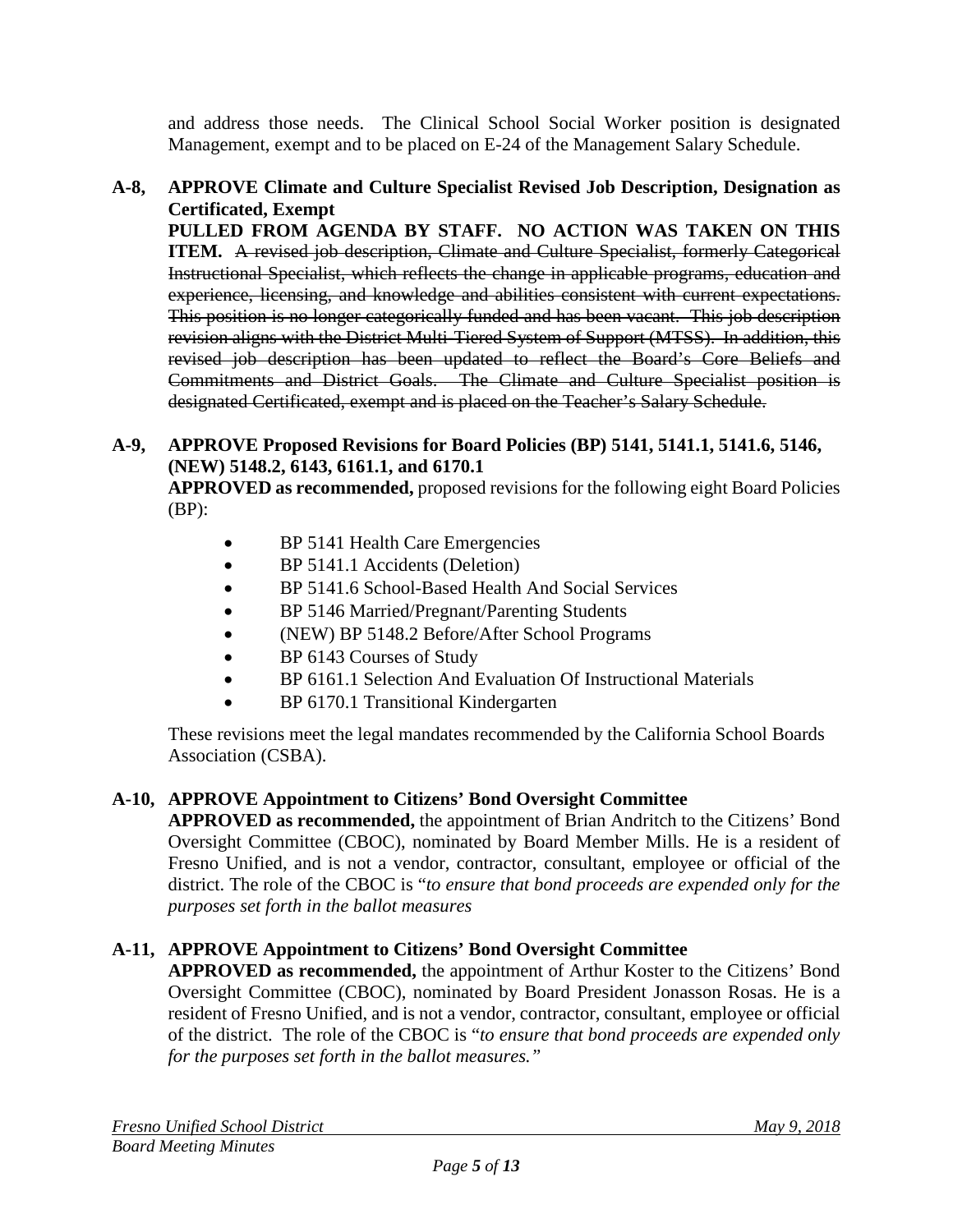and address those needs. The Clinical School Social Worker position is designated Management, exempt and to be placed on E-24 of the Management Salary Schedule.

### **A-8, APPROVE Climate and Culture Specialist Revised Job Description, Designation as Certificated, Exempt**

**PULLED FROM AGENDA BY STAFF. NO ACTION WAS TAKEN ON THIS ITEM.** A revised job description, Climate and Culture Specialist, formerly Categorical Instructional Specialist, which reflects the change in applicable programs, education and experience, licensing, and knowledge and abilities consistent with current expectations. This position is no longer categorically funded and has been vacant. This job description revision aligns with the District Multi-Tiered System of Support (MTSS). In addition, this revised job description has been updated to reflect the Board's Core Beliefs and Commitments and District Goals. The Climate and Culture Specialist position is designated Certificated, exempt and is placed on the Teacher's Salary Schedule.

### **A-9, APPROVE Proposed Revisions for Board Policies (BP) 5141, 5141.1, 5141.6, 5146, (NEW) 5148.2, 6143, 6161.1, and 6170.1**

**APPROVED as recommended,** proposed revisions for the following eight Board Policies (BP):

- BP 5141 Health Care Emergencies
- BP 5141.1 Accidents (Deletion)
- BP 5141.6 School-Based Health And Social Services
- BP 5146 Married/Pregnant/Parenting Students
- (NEW) BP 5148.2 Before/After School Programs
- BP 6143 Courses of Study
- BP 6161.1 Selection And Evaluation Of Instructional Materials
- BP 6170.1 Transitional Kindergarten

These revisions meet the legal mandates recommended by the California School Boards Association (CSBA).

## **A-10, APPROVE Appointment to Citizens' Bond Oversight Committee**

**APPROVED as recommended,** the appointment of Brian Andritch to the Citizens' Bond Oversight Committee (CBOC), nominated by Board Member Mills. He is a resident of Fresno Unified, and is not a vendor, contractor, consultant, employee or official of the district. The role of the CBOC is "*to ensure that bond proceeds are expended only for the purposes set forth in the ballot measures*

## **A-11, APPROVE Appointment to Citizens' Bond Oversight Committee**

**APPROVED as recommended,** the appointment of Arthur Koster to the Citizens' Bond Oversight Committee (CBOC), nominated by Board President Jonasson Rosas. He is a resident of Fresno Unified, and is not a vendor, contractor, consultant, employee or official of the district. The role of the CBOC is "*to ensure that bond proceeds are expended only for the purposes set forth in the ballot measures."*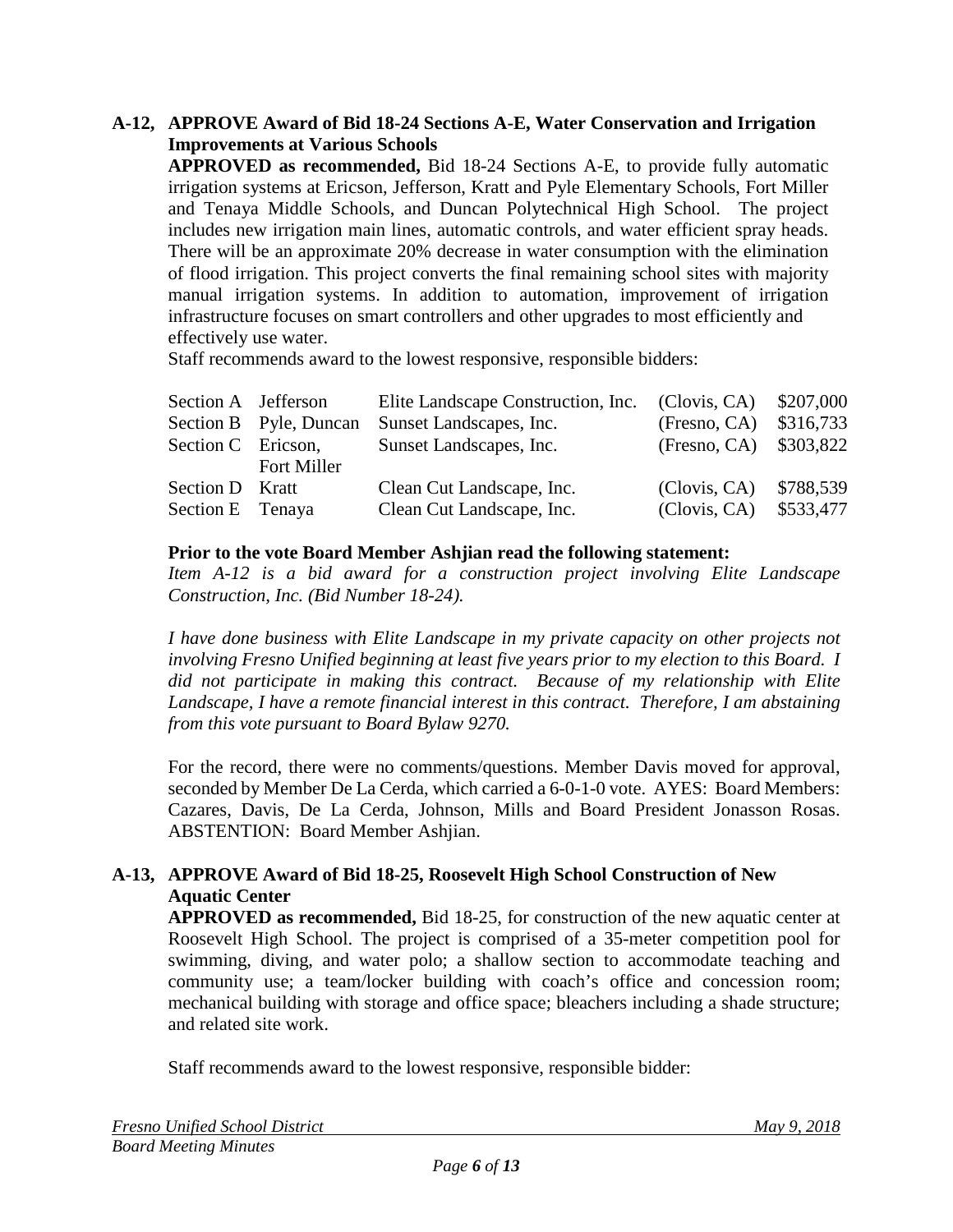### **A-12, APPROVE Award of Bid 18-24 Sections A-E, Water Conservation and Irrigation Improvements at Various Schools**

**APPROVED as recommended,** Bid 18-24 Sections A-E, to provide fully automatic irrigation systems at Ericson, Jefferson, Kratt and Pyle Elementary Schools, Fort Miller and Tenaya Middle Schools, and Duncan Polytechnical High School. The project includes new irrigation main lines, automatic controls, and water efficient spray heads. There will be an approximate 20% decrease in water consumption with the elimination of flood irrigation. This project converts the final remaining school sites with majority manual irrigation systems. In addition to automation, improvement of irrigation infrastructure focuses on smart controllers and other upgrades to most efficiently and effectively use water.

Staff recommends award to the lowest responsive, responsible bidders:

| Section A Jefferson    |                           |                         |                                                           |
|------------------------|---------------------------|-------------------------|-----------------------------------------------------------|
| Section B Pyle, Duncan |                           | (Fresno, CA) \$316,733  |                                                           |
| Section C Ericson,     | Sunset Landscapes, Inc.   | (Fresno, CA) \$303,822  |                                                           |
| <b>Fort Miller</b>     |                           |                         |                                                           |
| Section D Kratt        | Clean Cut Landscape, Inc. | (Clovis, CA) \$788,539  |                                                           |
| Section E Tenaya       | Clean Cut Landscape, Inc. | (Clovis, CA) \$533,477  |                                                           |
|                        |                           | Sunset Landscapes, Inc. | Elite Landscape Construction, Inc. (Clovis, CA) \$207,000 |

#### **Prior to the vote Board Member Ashjian read the following statement:**

*Item A-12 is a bid award for a construction project involving Elite Landscape Construction, Inc. (Bid Number 18-24).*

*I have done business with Elite Landscape in my private capacity on other projects not involving Fresno Unified beginning at least five years prior to my election to this Board. I did not participate in making this contract. Because of my relationship with Elite Landscape, I have a remote financial interest in this contract. Therefore, I am abstaining from this vote pursuant to Board Bylaw 9270.*

For the record, there were no comments/questions. Member Davis moved for approval, seconded by Member De La Cerda, which carried a 6-0-1-0 vote. AYES: Board Members: Cazares, Davis, De La Cerda, Johnson, Mills and Board President Jonasson Rosas. ABSTENTION: Board Member Ashjian.

## **A-13, APPROVE Award of Bid 18-25, Roosevelt High School Construction of New Aquatic Center**

**APPROVED as recommended,** Bid 18-25, for construction of the new aquatic center at Roosevelt High School. The project is comprised of a 35-meter competition pool for swimming, diving, and water polo; a shallow section to accommodate teaching and community use; a team/locker building with coach's office and concession room; mechanical building with storage and office space; bleachers including a shade structure; and related site work.

Staff recommends award to the lowest responsive, responsible bidder: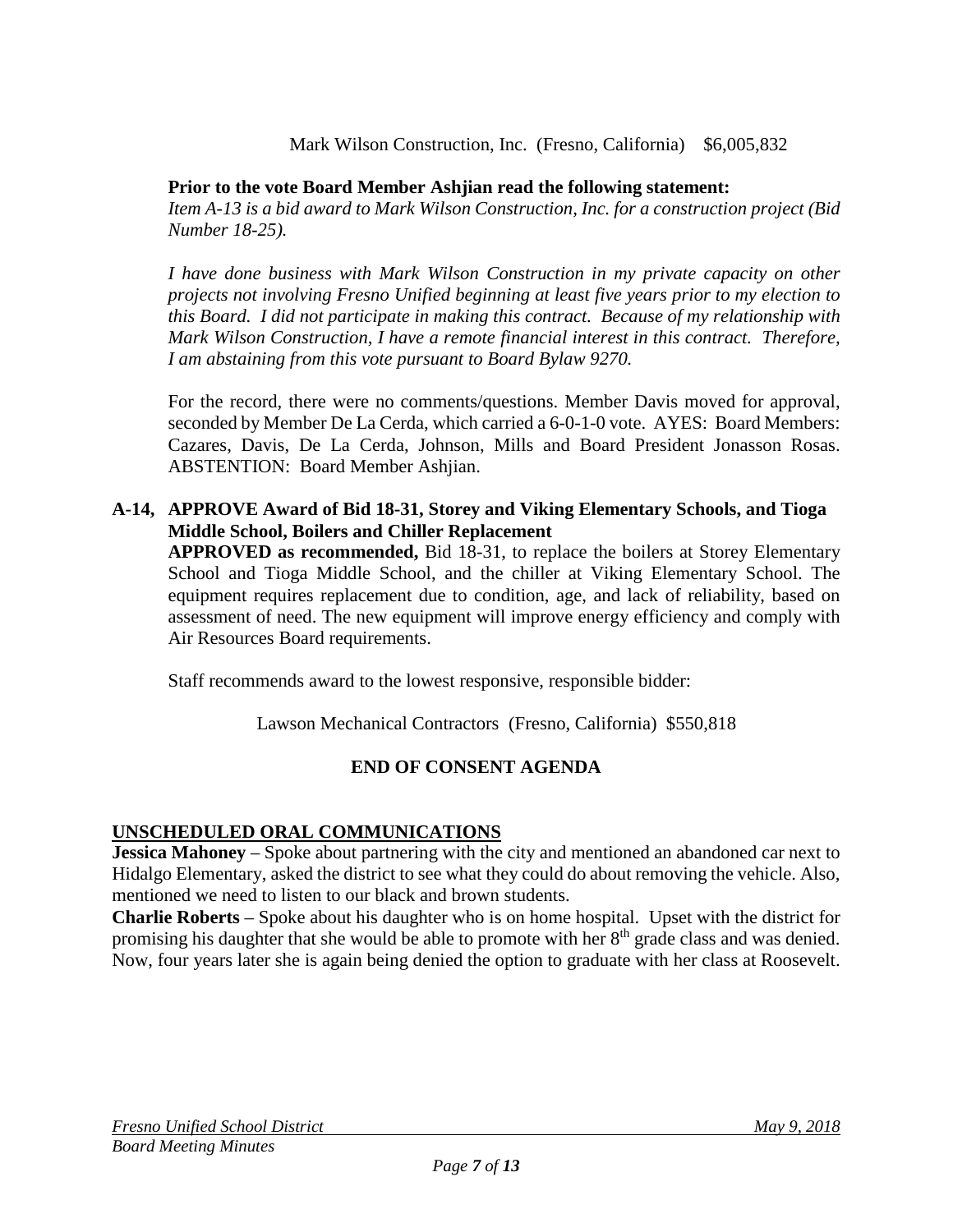### Mark Wilson Construction, Inc. (Fresno, California) \$6,005,832

### **Prior to the vote Board Member Ashjian read the following statement:**

*Item A-13 is a bid award to Mark Wilson Construction, Inc. for a construction project (Bid Number 18-25).*

*I have done business with Mark Wilson Construction in my private capacity on other projects not involving Fresno Unified beginning at least five years prior to my election to this Board. I did not participate in making this contract. Because of my relationship with Mark Wilson Construction, I have a remote financial interest in this contract. Therefore, I am abstaining from this vote pursuant to Board Bylaw 9270.*

For the record, there were no comments/questions. Member Davis moved for approval, seconded by Member De La Cerda, which carried a 6-0-1-0 vote. AYES: Board Members: Cazares, Davis, De La Cerda, Johnson, Mills and Board President Jonasson Rosas. ABSTENTION: Board Member Ashjian.

### **A-14, APPROVE Award of Bid 18-31, Storey and Viking Elementary Schools, and Tioga Middle School, Boilers and Chiller Replacement**

**APPROVED as recommended,** Bid 18-31, to replace the boilers at Storey Elementary School and Tioga Middle School, and the chiller at Viking Elementary School. The equipment requires replacement due to condition, age, and lack of reliability, based on assessment of need. The new equipment will improve energy efficiency and comply with Air Resources Board requirements.

Staff recommends award to the lowest responsive, responsible bidder:

Lawson Mechanical Contractors (Fresno, California) \$550,818

# **END OF CONSENT AGENDA**

## **UNSCHEDULED ORAL COMMUNICATIONS**

**Jessica Mahoney** – Spoke about partnering with the city and mentioned an abandoned car next to Hidalgo Elementary, asked the district to see what they could do about removing the vehicle. Also, mentioned we need to listen to our black and brown students.

**Charlie Roberts** – Spoke about his daughter who is on home hospital. Upset with the district for promising his daughter that she would be able to promote with her  $8<sup>th</sup>$  grade class and was denied. Now, four years later she is again being denied the option to graduate with her class at Roosevelt.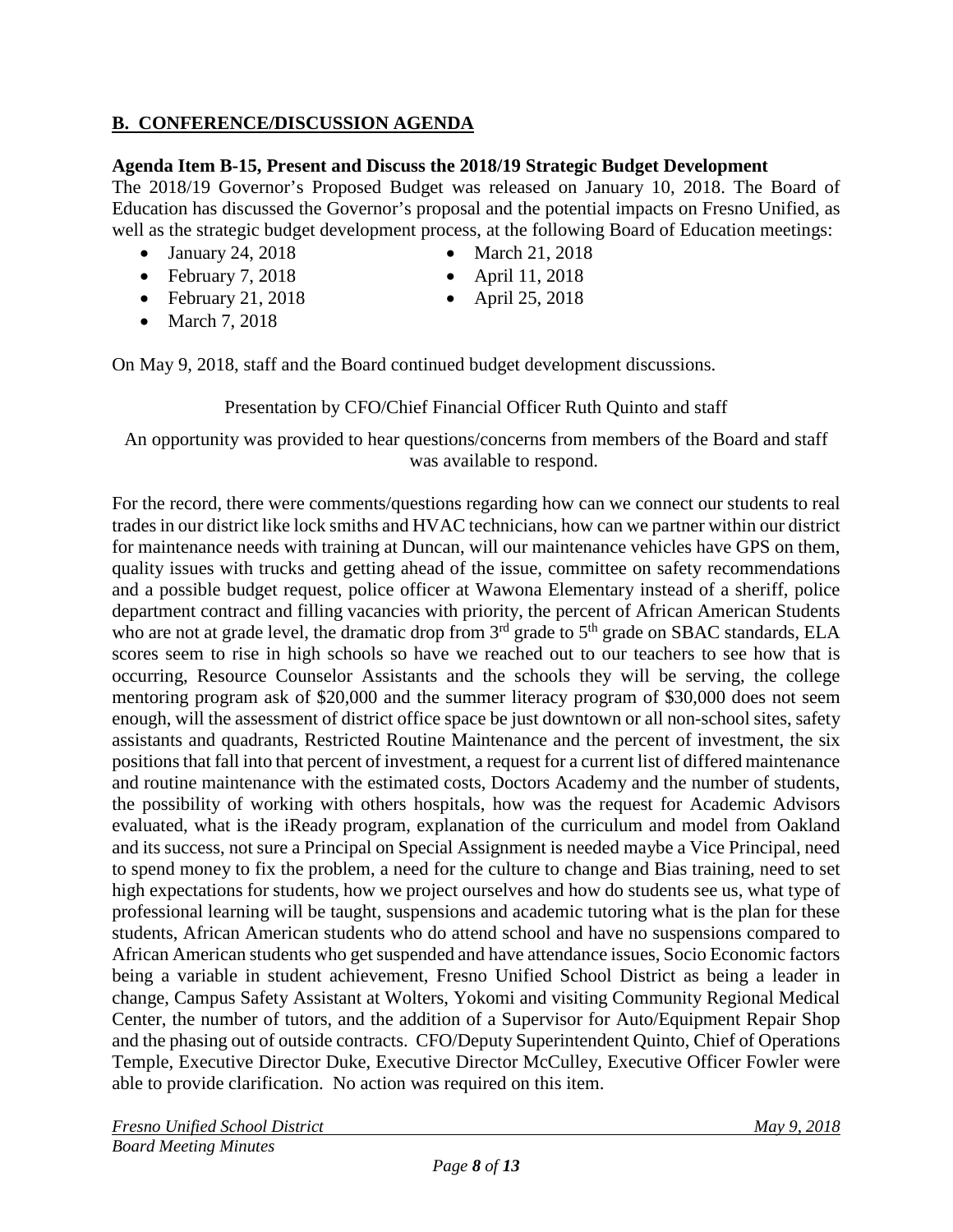## **B. CONFERENCE/DISCUSSION AGENDA**

#### **Agenda Item B-15, Present and Discuss the 2018/19 Strategic Budget Development**

The 2018/19 Governor's Proposed Budget was released on January 10, 2018. The Board of Education has discussed the Governor's proposal and the potential impacts on Fresno Unified, as well as the strategic budget development process, at the following Board of Education meetings:

- January 24, 2018 March 21, 2018
- February 7, 2018 April 11, 2018
- February 21, 2018 April 25, 2018
- March 7, 2018
- 
- 
- 

On May 9, 2018, staff and the Board continued budget development discussions.

Presentation by CFO/Chief Financial Officer Ruth Quinto and staff

An opportunity was provided to hear questions/concerns from members of the Board and staff was available to respond.

For the record, there were comments/questions regarding how can we connect our students to real trades in our district like lock smiths and HVAC technicians, how can we partner within our district for maintenance needs with training at Duncan, will our maintenance vehicles have GPS on them, quality issues with trucks and getting ahead of the issue, committee on safety recommendations and a possible budget request, police officer at Wawona Elementary instead of a sheriff, police department contract and filling vacancies with priority, the percent of African American Students who are not at grade level, the dramatic drop from 3<sup>rd</sup> grade to 5<sup>th</sup> grade on SBAC standards, ELA scores seem to rise in high schools so have we reached out to our teachers to see how that is occurring, Resource Counselor Assistants and the schools they will be serving, the college mentoring program ask of \$20,000 and the summer literacy program of \$30,000 does not seem enough, will the assessment of district office space be just downtown or all non-school sites, safety assistants and quadrants, Restricted Routine Maintenance and the percent of investment, the six positions that fall into that percent of investment, a request for a current list of differed maintenance and routine maintenance with the estimated costs, Doctors Academy and the number of students, the possibility of working with others hospitals, how was the request for Academic Advisors evaluated, what is the iReady program, explanation of the curriculum and model from Oakland and its success, not sure a Principal on Special Assignment is needed maybe a Vice Principal, need to spend money to fix the problem, a need for the culture to change and Bias training, need to set high expectations for students, how we project ourselves and how do students see us, what type of professional learning will be taught, suspensions and academic tutoring what is the plan for these students, African American students who do attend school and have no suspensions compared to African American students who get suspended and have attendance issues, Socio Economic factors being a variable in student achievement, Fresno Unified School District as being a leader in change, Campus Safety Assistant at Wolters, Yokomi and visiting Community Regional Medical Center, the number of tutors, and the addition of a Supervisor for Auto/Equipment Repair Shop and the phasing out of outside contracts. CFO/Deputy Superintendent Quinto, Chief of Operations Temple, Executive Director Duke, Executive Director McCulley, Executive Officer Fowler were able to provide clarification. No action was required on this item.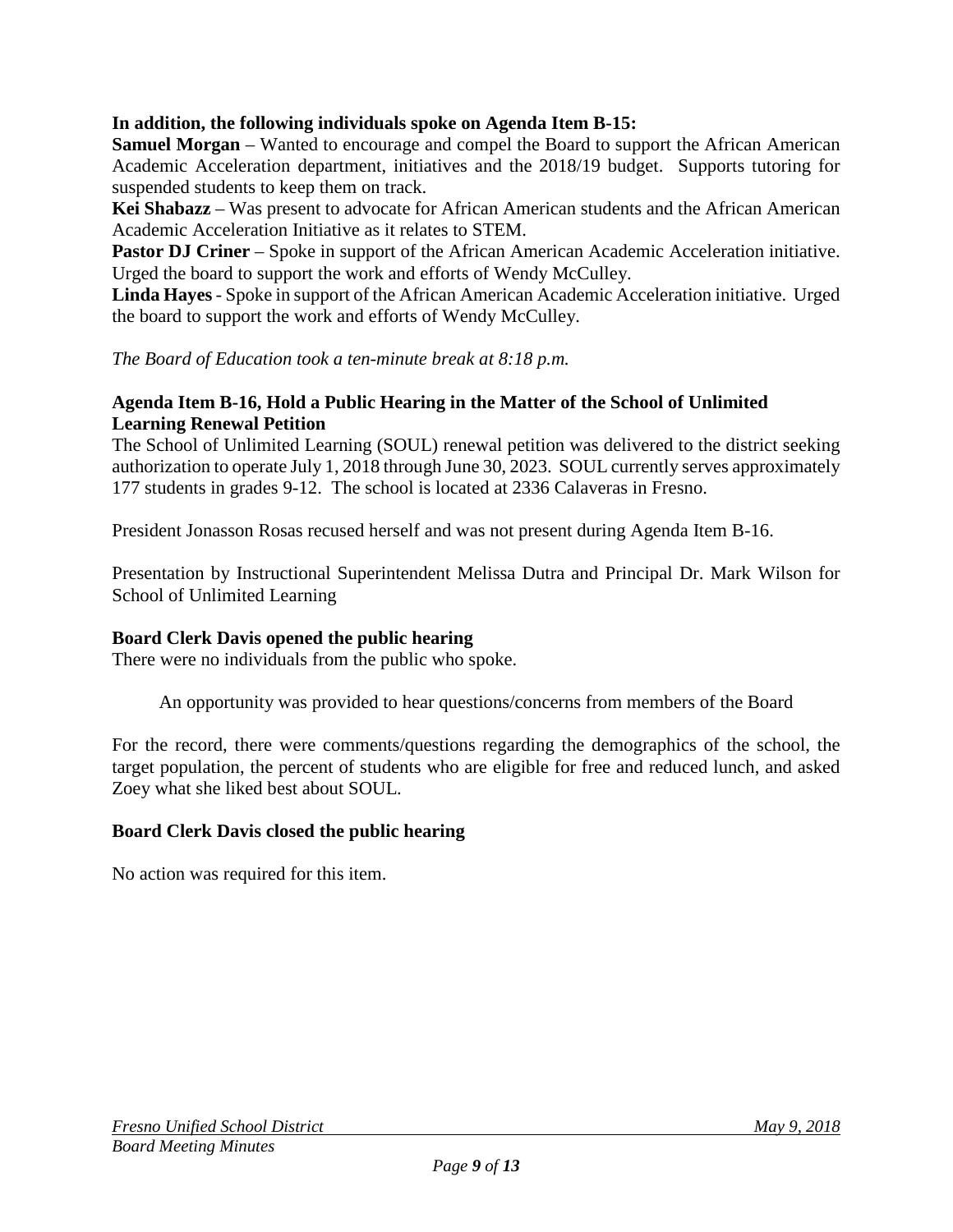### **In addition, the following individuals spoke on Agenda Item B-15:**

**Samuel Morgan** – Wanted to encourage and compel the Board to support the African American Academic Acceleration department, initiatives and the 2018/19 budget. Supports tutoring for suspended students to keep them on track.

**Kei Shabazz** – Was present to advocate for African American students and the African American Academic Acceleration Initiative as it relates to STEM.

**Pastor DJ Criner** – Spoke in support of the African American Academic Acceleration initiative. Urged the board to support the work and efforts of Wendy McCulley.

**Linda Hayes**- Spoke in support of the African American Academic Acceleration initiative. Urged the board to support the work and efforts of Wendy McCulley.

*The Board of Education took a ten-minute break at 8:18 p.m.*

#### **Agenda Item B-16, Hold a Public Hearing in the Matter of the School of Unlimited Learning Renewal Petition**

The School of Unlimited Learning (SOUL) renewal petition was delivered to the district seeking authorization to operate July 1, 2018 through June 30, 2023. SOUL currently serves approximately 177 students in grades 9-12. The school is located at 2336 Calaveras in Fresno.

President Jonasson Rosas recused herself and was not present during Agenda Item B-16.

Presentation by Instructional Superintendent Melissa Dutra and Principal Dr. Mark Wilson for School of Unlimited Learning

#### **Board Clerk Davis opened the public hearing**

There were no individuals from the public who spoke.

An opportunity was provided to hear questions/concerns from members of the Board

For the record, there were comments/questions regarding the demographics of the school, the target population, the percent of students who are eligible for free and reduced lunch, and asked Zoey what she liked best about SOUL.

#### **Board Clerk Davis closed the public hearing**

No action was required for this item.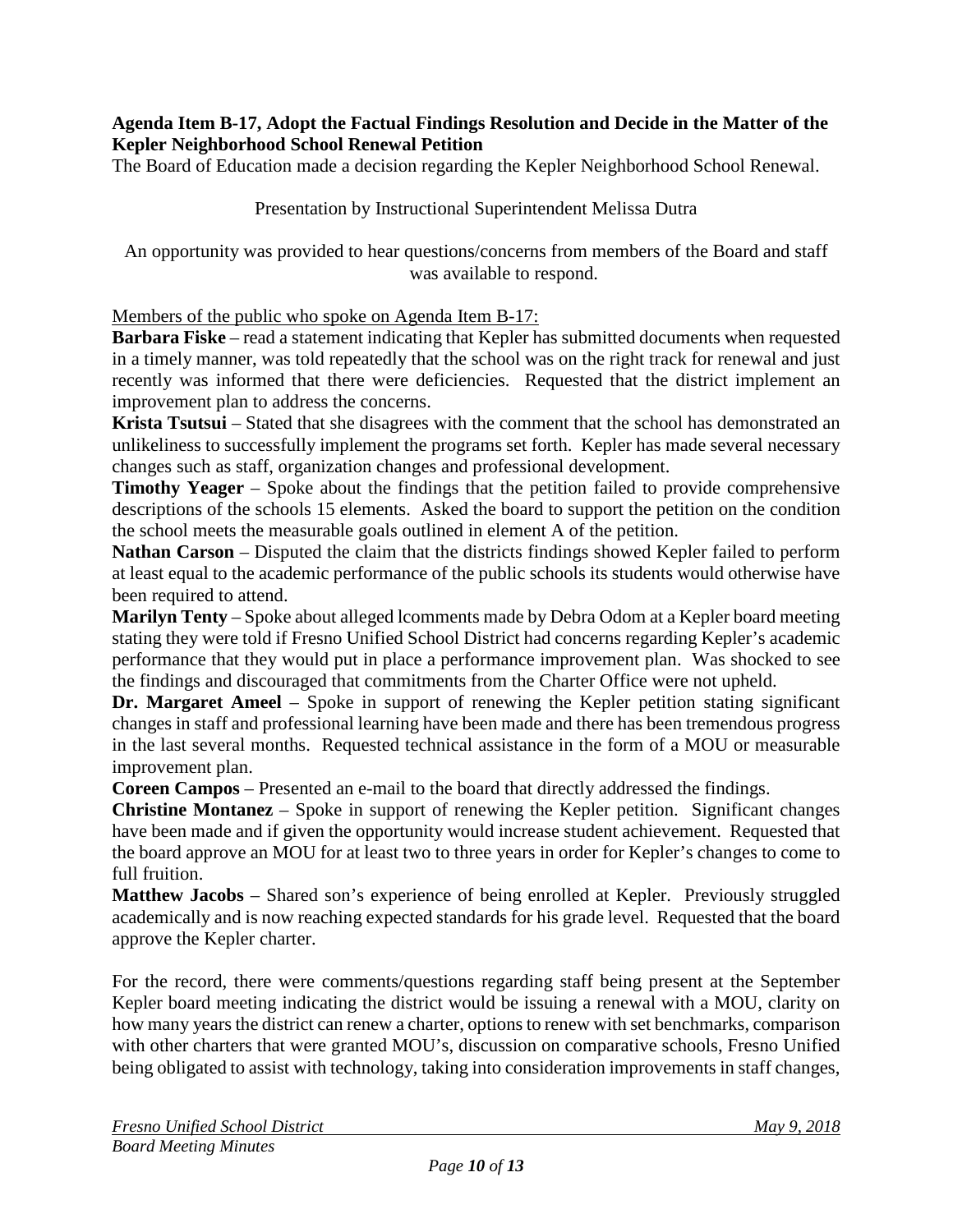#### **Agenda Item B-17, Adopt the Factual Findings Resolution and Decide in the Matter of the Kepler Neighborhood School Renewal Petition**

The Board of Education made a decision regarding the Kepler Neighborhood School Renewal.

#### Presentation by Instructional Superintendent Melissa Dutra

An opportunity was provided to hear questions/concerns from members of the Board and staff was available to respond.

#### Members of the public who spoke on Agenda Item B-17:

**Barbara Fiske** – read a statement indicating that Kepler has submitted documents when requested in a timely manner, was told repeatedly that the school was on the right track for renewal and just recently was informed that there were deficiencies. Requested that the district implement an improvement plan to address the concerns.

**Krista Tsutsui** – Stated that she disagrees with the comment that the school has demonstrated an unlikeliness to successfully implement the programs set forth. Kepler has made several necessary changes such as staff, organization changes and professional development.

**Timothy Yeager** – Spoke about the findings that the petition failed to provide comprehensive descriptions of the schools 15 elements. Asked the board to support the petition on the condition the school meets the measurable goals outlined in element A of the petition.

**Nathan Carson** – Disputed the claim that the districts findings showed Kepler failed to perform at least equal to the academic performance of the public schools its students would otherwise have been required to attend.

**Marilyn Tenty** – Spoke about alleged lcomments made by Debra Odom at a Kepler board meeting stating they were told if Fresno Unified School District had concerns regarding Kepler's academic performance that they would put in place a performance improvement plan. Was shocked to see the findings and discouraged that commitments from the Charter Office were not upheld.

**Dr. Margaret Ameel** – Spoke in support of renewing the Kepler petition stating significant changes in staff and professional learning have been made and there has been tremendous progress in the last several months. Requested technical assistance in the form of a MOU or measurable improvement plan.

**Coreen Campos** – Presented an e-mail to the board that directly addressed the findings.

**Christine Montanez** – Spoke in support of renewing the Kepler petition. Significant changes have been made and if given the opportunity would increase student achievement. Requested that the board approve an MOU for at least two to three years in order for Kepler's changes to come to full fruition.

**Matthew Jacobs** – Shared son's experience of being enrolled at Kepler. Previously struggled academically and is now reaching expected standards for his grade level. Requested that the board approve the Kepler charter.

For the record, there were comments/questions regarding staff being present at the September Kepler board meeting indicating the district would be issuing a renewal with a MOU, clarity on how many years the district can renew a charter, options to renew with set benchmarks, comparison with other charters that were granted MOU's, discussion on comparative schools, Fresno Unified being obligated to assist with technology, taking into consideration improvements in staff changes,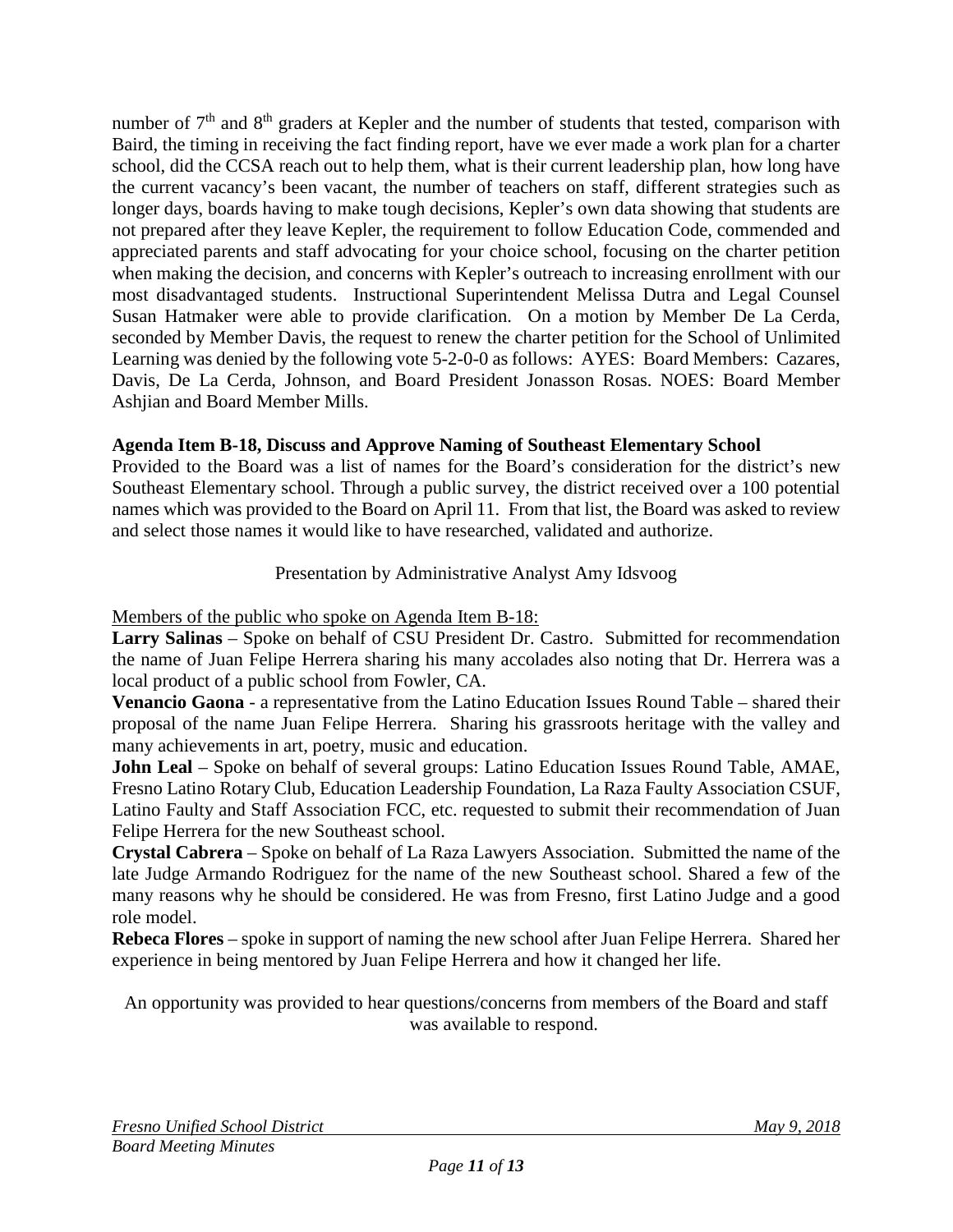number of  $7<sup>th</sup>$  and  $8<sup>th</sup>$  graders at Kepler and the number of students that tested, comparison with Baird, the timing in receiving the fact finding report, have we ever made a work plan for a charter school, did the CCSA reach out to help them, what is their current leadership plan, how long have the current vacancy's been vacant, the number of teachers on staff, different strategies such as longer days, boards having to make tough decisions, Kepler's own data showing that students are not prepared after they leave Kepler, the requirement to follow Education Code, commended and appreciated parents and staff advocating for your choice school, focusing on the charter petition when making the decision, and concerns with Kepler's outreach to increasing enrollment with our most disadvantaged students. Instructional Superintendent Melissa Dutra and Legal Counsel Susan Hatmaker were able to provide clarification. On a motion by Member De La Cerda, seconded by Member Davis, the request to renew the charter petition for the School of Unlimited Learning was denied by the following vote 5-2-0-0 as follows: AYES: Board Members: Cazares, Davis, De La Cerda, Johnson, and Board President Jonasson Rosas. NOES: Board Member Ashjian and Board Member Mills.

# **Agenda Item B-18, Discuss and Approve Naming of Southeast Elementary School**

Provided to the Board was a list of names for the Board's consideration for the district's new Southeast Elementary school. Through a public survey, the district received over a 100 potential names which was provided to the Board on April 11. From that list, the Board was asked to review and select those names it would like to have researched, validated and authorize.

## Presentation by Administrative Analyst Amy Idsvoog

Members of the public who spoke on Agenda Item B-18:

**Larry Salinas** – Spoke on behalf of CSU President Dr. Castro. Submitted for recommendation the name of Juan Felipe Herrera sharing his many accolades also noting that Dr. Herrera was a local product of a public school from Fowler, CA.

**Venancio Gaona** - a representative from the Latino Education Issues Round Table – shared their proposal of the name Juan Felipe Herrera. Sharing his grassroots heritage with the valley and many achievements in art, poetry, music and education.

**John Leal** – Spoke on behalf of several groups: Latino Education Issues Round Table, AMAE, Fresno Latino Rotary Club, Education Leadership Foundation, La Raza Faulty Association CSUF, Latino Faulty and Staff Association FCC, etc. requested to submit their recommendation of Juan Felipe Herrera for the new Southeast school.

**Crystal Cabrera** – Spoke on behalf of La Raza Lawyers Association. Submitted the name of the late Judge Armando Rodriguez for the name of the new Southeast school. Shared a few of the many reasons why he should be considered. He was from Fresno, first Latino Judge and a good role model.

**Rebeca Flores** – spoke in support of naming the new school after Juan Felipe Herrera. Shared her experience in being mentored by Juan Felipe Herrera and how it changed her life.

An opportunity was provided to hear questions/concerns from members of the Board and staff was available to respond.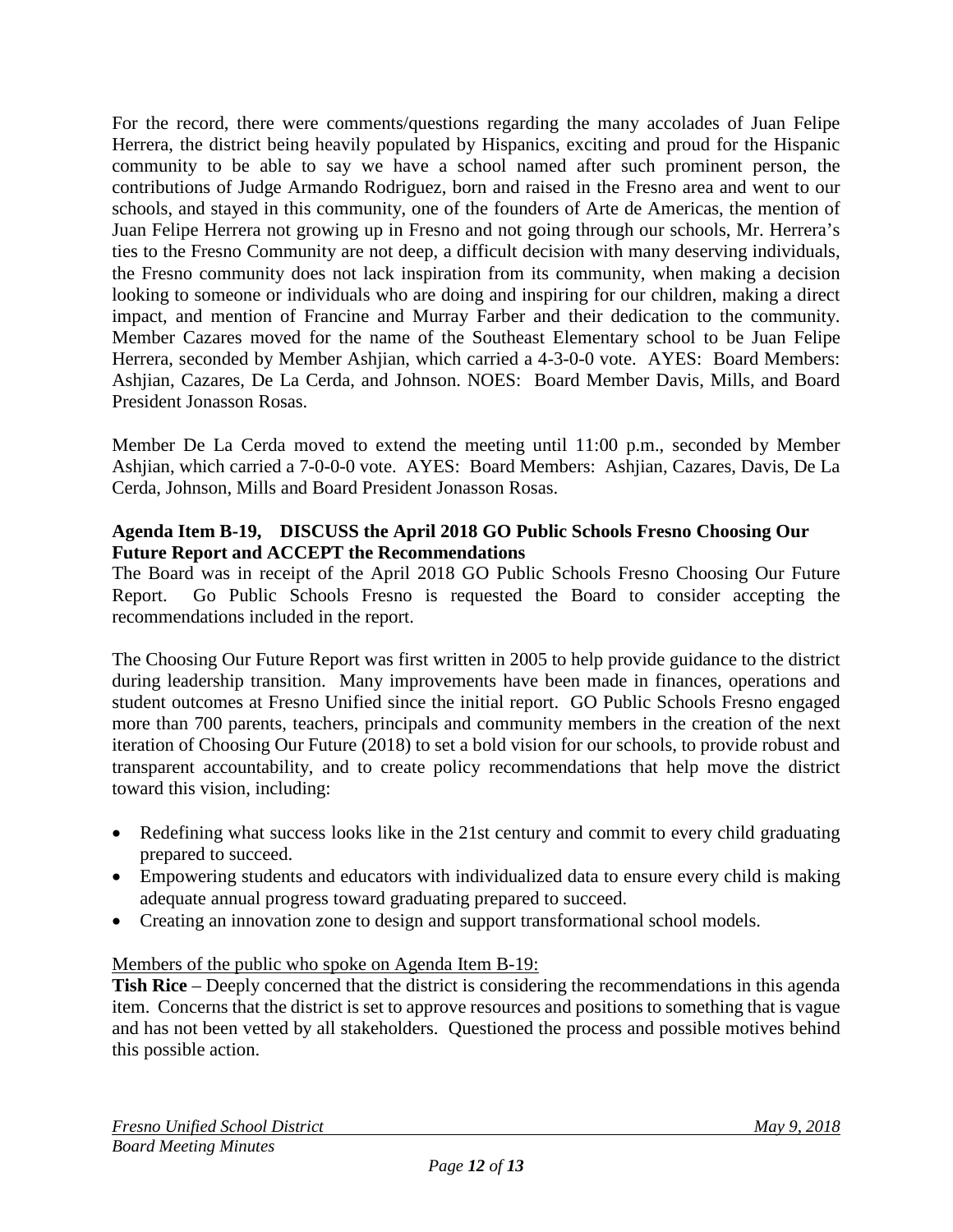For the record, there were comments/questions regarding the many accolades of Juan Felipe Herrera, the district being heavily populated by Hispanics, exciting and proud for the Hispanic community to be able to say we have a school named after such prominent person, the contributions of Judge Armando Rodriguez, born and raised in the Fresno area and went to our schools, and stayed in this community, one of the founders of Arte de Americas, the mention of Juan Felipe Herrera not growing up in Fresno and not going through our schools, Mr. Herrera's ties to the Fresno Community are not deep, a difficult decision with many deserving individuals, the Fresno community does not lack inspiration from its community, when making a decision looking to someone or individuals who are doing and inspiring for our children, making a direct impact, and mention of Francine and Murray Farber and their dedication to the community. Member Cazares moved for the name of the Southeast Elementary school to be Juan Felipe Herrera, seconded by Member Ashjian, which carried a 4-3-0-0 vote. AYES: Board Members: Ashjian, Cazares, De La Cerda, and Johnson. NOES: Board Member Davis, Mills, and Board President Jonasson Rosas.

Member De La Cerda moved to extend the meeting until 11:00 p.m., seconded by Member Ashjian, which carried a 7-0-0-0 vote. AYES: Board Members: Ashjian, Cazares, Davis, De La Cerda, Johnson, Mills and Board President Jonasson Rosas.

### **Agenda Item B-19, DISCUSS the April 2018 GO Public Schools Fresno Choosing Our Future Report and ACCEPT the Recommendations**

The Board was in receipt of the April 2018 GO Public Schools Fresno Choosing Our Future Report. Go Public Schools Fresno is requested the Board to consider accepting the recommendations included in the report.

The Choosing Our Future Report was first written in 2005 to help provide guidance to the district during leadership transition. Many improvements have been made in finances, operations and student outcomes at Fresno Unified since the initial report. GO Public Schools Fresno engaged more than 700 parents, teachers, principals and community members in the creation of the next iteration of Choosing Our Future (2018) to set a bold vision for our schools, to provide robust and transparent accountability, and to create policy recommendations that help move the district toward this vision, including:

- Redefining what success looks like in the 21st century and commit to every child graduating prepared to succeed.
- Empowering students and educators with individualized data to ensure every child is making adequate annual progress toward graduating prepared to succeed.
- Creating an innovation zone to design and support transformational school models.

## Members of the public who spoke on Agenda Item B-19:

**Tish Rice** – Deeply concerned that the district is considering the recommendations in this agenda item. Concerns that the district is set to approve resources and positions to something that is vague and has not been vetted by all stakeholders. Questioned the process and possible motives behind this possible action.